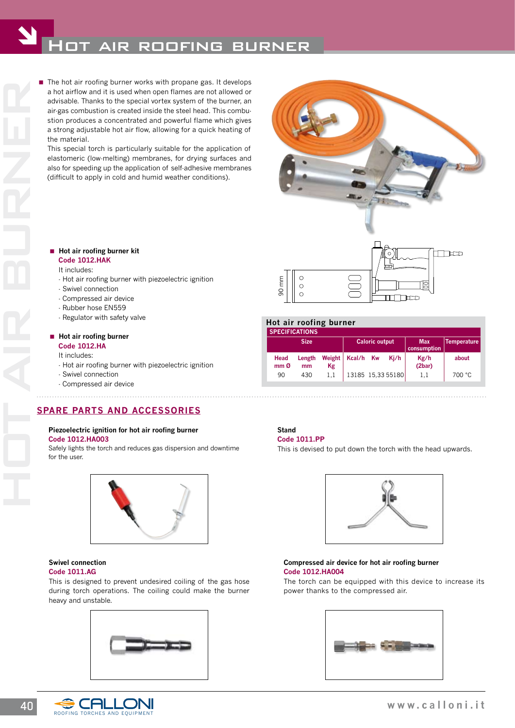# HOT AIR ROOFING BURNER

■ The hot air roofing burner works with propane gas. It develops<br>and a hot air for air and the special vortex ystem of the burner, and<br>any age and solved of air ragas combustion is created inside the steel head. This comb a hot airflow and it is used when open flames are not allowed or advisable. Thanks to the special vortex system of the burner, an air-gas combustion is created inside the steel head. This combustion produces a concentrated and powerful flame which gives a strong adjustable hot air flow, allowing for a quick heating of the material.

 This special torch is particularly suitable for the application of elastomeric (low-melting) membranes, for drying surfaces and also for speeding up the application of self-adhesive membranes (difficult to apply in cold and humid weather conditions).

#### **Hot air roofing burner kit Code 1012.HAK**

#### It includes:

- Hot air roofing burner with piezoelectric ignition
- Swivel connection
- Compressed air device
- Rubber hose EN559
- Regulator with safety valve

#### **Hot air roofing burner**

**Code 1012.HA**

- It includes:
- Hot air roofing burner with piezoelectric ignition
- Swivel connection
- Compressed air device

#### **SPARE PARTS AND ACCESSORIES**

#### **Piezoelectric ignition for hot air roofing burner code 1012.HA003**

Safely lights the torch and reduces gas dispersion and downtime for the user.



#### **Swivel connection code 1011.AG**

This is designed to prevent undesired coiling of the gas hose during torch operations. The coiling could make the burner heavy and unstable.





#### **Hot air roofing burner**

| <b>SPECIFICATIONS.</b>  |              |              |                       |  |                   |                           |                    |
|-------------------------|--------------|--------------|-----------------------|--|-------------------|---------------------------|--------------------|
| <b>Size</b>             |              |              | <b>Caloric output</b> |  |                   | <b>Max</b><br>consumption | <b>Temperature</b> |
| Head<br>mm <sub>0</sub> | Length<br>mm | Weight<br>Kg | Kcal/h Kw             |  | Ki/h              | Kg/h<br>(2bar)            | about              |
| 90                      | 430          | 1.1          |                       |  | 13185 15,33 55180 | 1.1                       | 700 °C             |

### **Stand**

**code 1011.PP**

This is devised to put down the torch with the head upwards.



#### **Compressed air device for hot air roofing burner code 1012.HA004**

The torch can be equipped with this device to increase its power thanks to the compressed air.